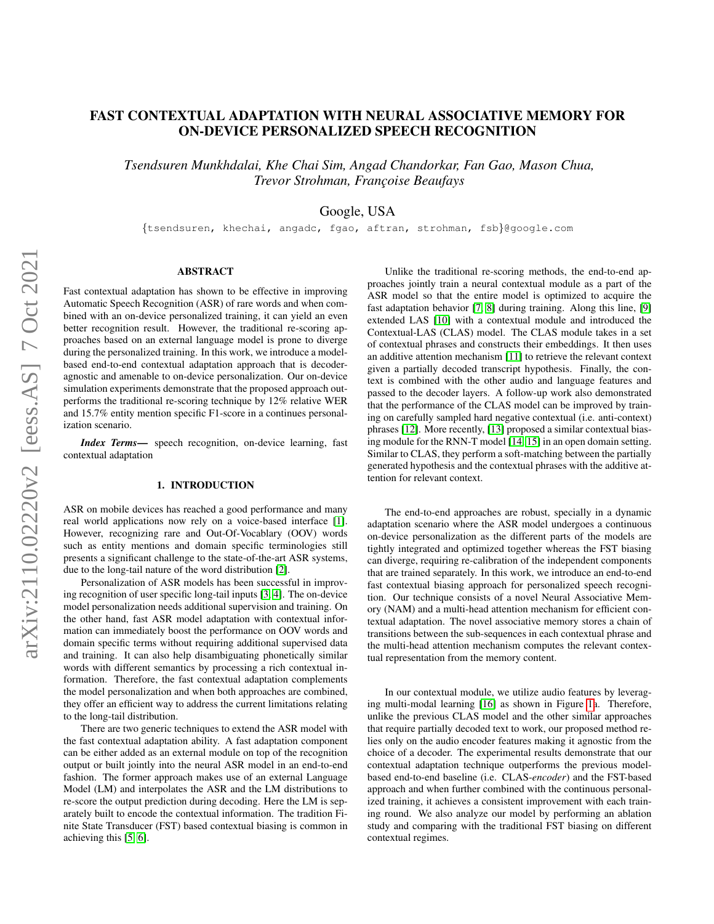# FAST CONTEXTUAL ADAPTATION WITH NEURAL ASSOCIATIVE MEMORY FOR ON-DEVICE PERSONALIZED SPEECH RECOGNITION

*Tsendsuren Munkhdalai, Khe Chai Sim, Angad Chandorkar, Fan Gao, Mason Chua, Trevor Strohman, Franc¸oise Beaufays*

Google, USA

{tsendsuren, khechai, angadc, fgao, aftran, strohman, fsb}@google.com

# ABSTRACT

Fast contextual adaptation has shown to be effective in improving Automatic Speech Recognition (ASR) of rare words and when combined with an on-device personalized training, it can yield an even better recognition result. However, the traditional re-scoring approaches based on an external language model is prone to diverge during the personalized training. In this work, we introduce a modelbased end-to-end contextual adaptation approach that is decoderagnostic and amenable to on-device personalization. Our on-device simulation experiments demonstrate that the proposed approach outperforms the traditional re-scoring technique by 12% relative WER and 15.7% entity mention specific F1-score in a continues personalization scenario.

*Index Terms*— speech recognition, on-device learning, fast contextual adaptation

#### 1. INTRODUCTION

ASR on mobile devices has reached a good performance and many real world applications now rely on a voice-based interface [\[1\]](#page-4-0). However, recognizing rare and Out-Of-Vocablary (OOV) words such as entity mentions and domain specific terminologies still presents a significant challenge to the state-of-the-art ASR systems, due to the long-tail nature of the word distribution [\[2\]](#page-4-1).

Personalization of ASR models has been successful in improving recognition of user specific long-tail inputs [\[3,](#page-4-2) [4\]](#page-4-3). The on-device model personalization needs additional supervision and training. On the other hand, fast ASR model adaptation with contextual information can immediately boost the performance on OOV words and domain specific terms without requiring additional supervised data and training. It can also help disambiguating phonetically similar words with different semantics by processing a rich contextual information. Therefore, the fast contextual adaptation complements the model personalization and when both approaches are combined, they offer an efficient way to address the current limitations relating to the long-tail distribution.

There are two generic techniques to extend the ASR model with the fast contextual adaptation ability. A fast adaptation component can be either added as an external module on top of the recognition output or built jointly into the neural ASR model in an end-to-end fashion. The former approach makes use of an external Language Model (LM) and interpolates the ASR and the LM distributions to re-score the output prediction during decoding. Here the LM is separately built to encode the contextual information. The tradition Finite State Transducer (FST) based contextual biasing is common in achieving this [\[5,](#page-4-4) [6\]](#page-4-5).

Unlike the traditional re-scoring methods, the end-to-end approaches jointly train a neural contextual module as a part of the ASR model so that the entire model is optimized to acquire the fast adaptation behavior [\[7,](#page-4-6) [8\]](#page-4-7) during training. Along this line, [\[9\]](#page-4-8) extended LAS [\[10\]](#page-4-9) with a contextual module and introduced the Contextual-LAS (CLAS) model. The CLAS module takes in a set of contextual phrases and constructs their embeddings. It then uses an additive attention mechanism [\[11\]](#page-4-10) to retrieve the relevant context given a partially decoded transcript hypothesis. Finally, the context is combined with the other audio and language features and passed to the decoder layers. A follow-up work also demonstrated that the performance of the CLAS model can be improved by training on carefully sampled hard negative contextual (i.e. anti-context) phrases [\[12\]](#page-4-11). More recently, [\[13\]](#page-4-12) proposed a similar contextual biasing module for the RNN-T model [\[14,](#page-4-13) [15\]](#page-4-14) in an open domain setting. Similar to CLAS, they perform a soft-matching between the partially generated hypothesis and the contextual phrases with the additive attention for relevant context.

The end-to-end approaches are robust, specially in a dynamic adaptation scenario where the ASR model undergoes a continuous on-device personalization as the different parts of the models are tightly integrated and optimized together whereas the FST biasing can diverge, requiring re-calibration of the independent components that are trained separately. In this work, we introduce an end-to-end fast contextual biasing approach for personalized speech recognition. Our technique consists of a novel Neural Associative Memory (NAM) and a multi-head attention mechanism for efficient contextual adaptation. The novel associative memory stores a chain of transitions between the sub-sequences in each contextual phrase and the multi-head attention mechanism computes the relevant contextual representation from the memory content.

In our contextual module, we utilize audio features by leveraging multi-modal learning [\[16\]](#page-4-15) as shown in Figure [1a](#page-1-0). Therefore, unlike the previous CLAS model and the other similar approaches that require partially decoded text to work, our proposed method relies only on the audio encoder features making it agnostic from the choice of a decoder. The experimental results demonstrate that our contextual adaptation technique outperforms the previous modelbased end-to-end baseline (i.e. CLAS-*encoder*) and the FST-based approach and when further combined with the continuous personalized training, it achieves a consistent improvement with each training round. We also analyze our model by performing an ablation study and comparing with the traditional FST biasing on different contextual regimes.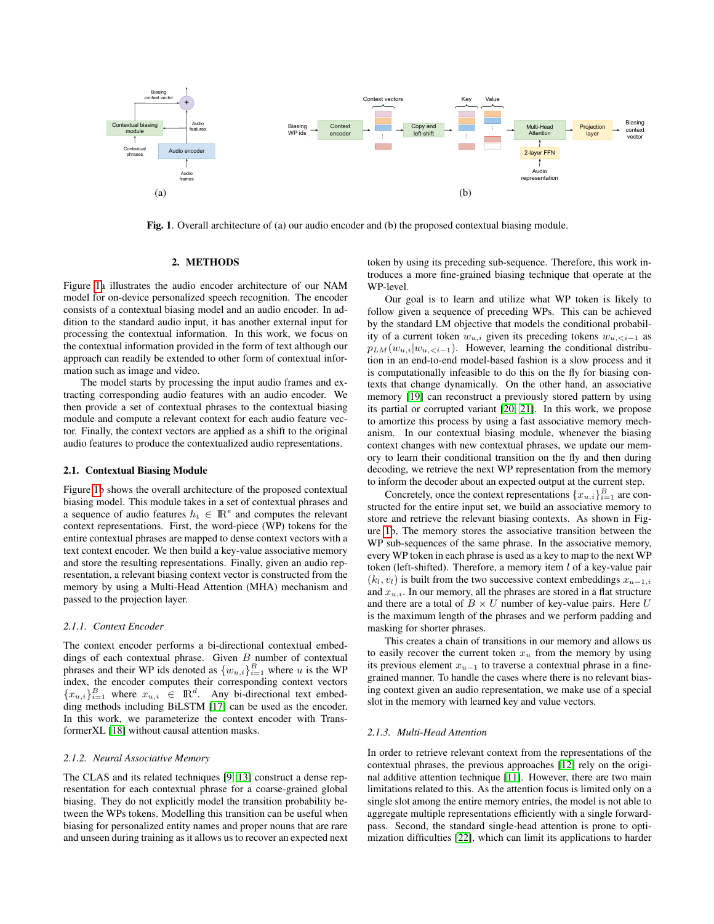

<span id="page-1-0"></span>Fig. 1. Overall architecture of (a) our audio encoder and (b) the proposed contextual biasing module.

# 2. METHODS

Figure [1a](#page-1-0) illustrates the audio encoder architecture of our NAM model for on-device personalized speech recognition. The encoder consists of a contextual biasing model and an audio encoder. In addition to the standard audio input, it has another external input for processing the contextual information. In this work, we focus on the contextual information provided in the form of text although our approach can readily be extended to other form of contextual information such as image and video.

The model starts by processing the input audio frames and extracting corresponding audio features with an audio encoder. We then provide a set of contextual phrases to the contextual biasing module and compute a relevant context for each audio feature vector. Finally, the context vectors are applied as a shift to the original audio features to produce the contextualized audio representations.

# 2.1. Contextual Biasing Module

Figure [1b](#page-1-0) shows the overall architecture of the proposed contextual biasing model. This module takes in a set of contextual phrases and a sequence of audio features  $h_t \in \mathbb{R}^e$  and computes the relevant context representations. First, the word-piece (WP) tokens for the entire contextual phrases are mapped to dense context vectors with a text context encoder. We then build a key-value associative memory and store the resulting representations. Finally, given an audio representation, a relevant biasing context vector is constructed from the memory by using a Multi-Head Attention (MHA) mechanism and passed to the projection layer.

# *2.1.1. Context Encoder*

The context encoder performs a bi-directional contextual embeddings of each contextual phrase. Given  $B$  number of contextual phrases and their WP ids denoted as  $\{w_{u,i}\}_{i=1}^B$  where u is the WP index, the encoder computes their corresponding context vectors  ${x_{u,i}}_{i=1}^B$  where  $x_{u,i} \in \mathbb{R}^d$ . Any bi-directional text embedding methods including BiLSTM [\[17\]](#page-4-16) can be used as the encoder. In this work, we parameterize the context encoder with TransformerXL [\[18\]](#page-4-17) without causal attention masks.

#### *2.1.2. Neural Associative Memory*

The CLAS and its related techniques [\[9,](#page-4-8) [13\]](#page-4-12) construct a dense representation for each contextual phrase for a coarse-grained global biasing. They do not explicitly model the transition probability between the WPs tokens. Modelling this transition can be useful when biasing for personalized entity names and proper nouns that are rare and unseen during training as it allows us to recover an expected next token by using its preceding sub-sequence. Therefore, this work introduces a more fine-grained biasing technique that operate at the WP-level.

Our goal is to learn and utilize what WP token is likely to follow given a sequence of preceding WPs. This can be achieved by the standard LM objective that models the conditional probability of a current token  $w_{u,i}$  given its preceding tokens  $w_{u, as$  $p_{LM}(w_{u,i}|w_{u,. However, learning the conditional distribu$ tion in an end-to-end model-based fashion is a slow process and it is computationally infeasible to do this on the fly for biasing contexts that change dynamically. On the other hand, an associative memory [\[19\]](#page-4-18) can reconstruct a previously stored pattern by using its partial or corrupted variant [\[20,](#page-4-19) [21\]](#page-4-20). In this work, we propose to amortize this process by using a fast associative memory mechanism. In our contextual biasing module, whenever the biasing context changes with new contextual phrases, we update our memory to learn their conditional transition on the fly and then during decoding, we retrieve the next WP representation from the memory to inform the decoder about an expected output at the current step.

Concretely, once the context representations  ${x_{u,i}}_{i=1}^B$  are constructed for the entire input set, we build an associative memory to store and retrieve the relevant biasing contexts. As shown in Figure [1b](#page-1-0), The memory stores the associative transition between the WP sub-sequences of the same phrase. In the associative memory, every WP token in each phrase is used as a key to map to the next WP token (left-shifted). Therefore, a memory item  $l$  of a key-value pair  $(k_l, v_l)$  is built from the two successive context embeddings  $x_{u-1,i}$ and  $x_{u,i}$ . In our memory, all the phrases are stored in a flat structure and there are a total of  $B \times U$  number of key-value pairs. Here U is the maximum length of the phrases and we perform padding and masking for shorter phrases.

This creates a chain of transitions in our memory and allows us to easily recover the current token  $x<sub>u</sub>$  from the memory by using its previous element  $x_{u-1}$  to traverse a contextual phrase in a finegrained manner. To handle the cases where there is no relevant biasing context given an audio representation, we make use of a special slot in the memory with learned key and value vectors.

#### *2.1.3. Multi-Head Attention*

In order to retrieve relevant context from the representations of the contextual phrases, the previous approaches [\[12\]](#page-4-11) rely on the original additive attention technique [\[11\]](#page-4-10). However, there are two main limitations related to this. As the attention focus is limited only on a single slot among the entire memory entries, the model is not able to aggregate multiple representations efficiently with a single forwardpass. Second, the standard single-head attention is prone to optimization difficulties [\[22\]](#page-4-21), which can limit its applications to harder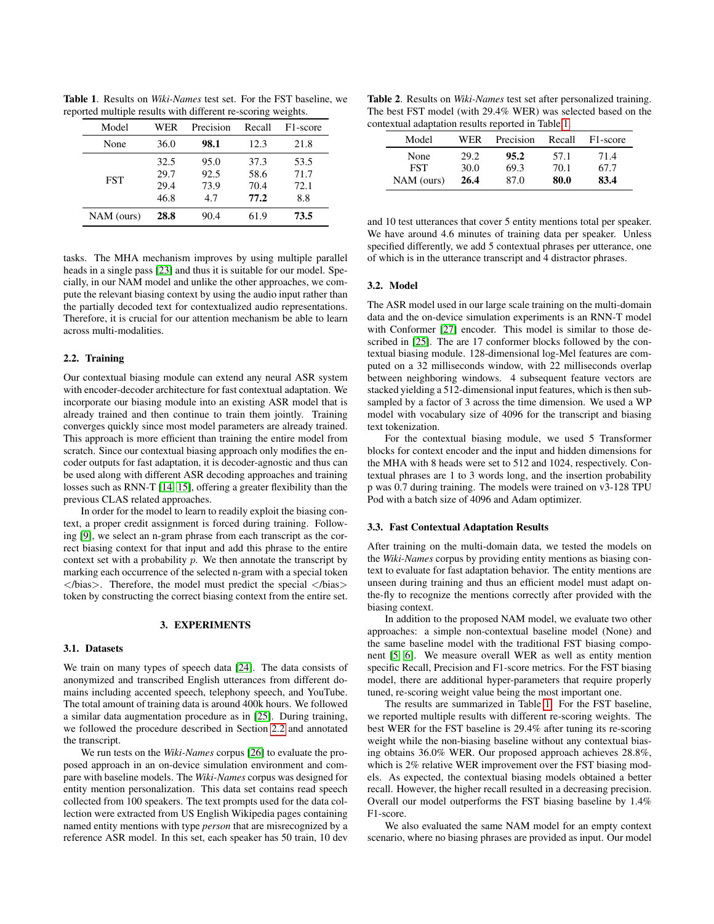Table 1. Results on *Wiki-Names* test set. For the FST baseline, we reported multiple results with different re-scoring weights.

<span id="page-2-1"></span>

| Model      | WER  | Precision | Recall | F <sub>1</sub> -score |
|------------|------|-----------|--------|-----------------------|
| None       | 36.0 | 98.1      | 12.3   | 21.8                  |
| <b>FST</b> | 32.5 | 95.0      | 37.3   | 53.5                  |
|            | 29.7 | 92.5      | 58.6   | 71.7                  |
|            | 29.4 | 73.9      | 70.4   | 72.1                  |
|            | 46.8 | 4.7       | 77.2   | 8.8                   |
| NAM (ours) | 28.8 | 90.4      | 61.9   | 73.5                  |

tasks. The MHA mechanism improves by using multiple parallel heads in a single pass [\[23\]](#page-4-22) and thus it is suitable for our model. Specially, in our NAM model and unlike the other approaches, we compute the relevant biasing context by using the audio input rather than the partially decoded text for contextualized audio representations. Therefore, it is crucial for our attention mechanism be able to learn across multi-modalities.

### <span id="page-2-0"></span>2.2. Training

Our contextual biasing module can extend any neural ASR system with encoder-decoder architecture for fast contextual adaptation. We incorporate our biasing module into an existing ASR model that is already trained and then continue to train them jointly. Training converges quickly since most model parameters are already trained. This approach is more efficient than training the entire model from scratch. Since our contextual biasing approach only modifies the encoder outputs for fast adaptation, it is decoder-agnostic and thus can be used along with different ASR decoding approaches and training losses such as RNN-T [\[14,](#page-4-13) [15\]](#page-4-14), offering a greater flexibility than the previous CLAS related approaches.

In order for the model to learn to readily exploit the biasing context, a proper credit assignment is forced during training. Following [\[9\]](#page-4-8), we select an n-gram phrase from each transcript as the correct biasing context for that input and add this phrase to the entire context set with a probability  $p$ . We then annotate the transcript by marking each occurrence of the selected n-gram with a special token  $\langle$ bias>. Therefore, the model must predict the special  $\langle$ bias> token by constructing the correct biasing context from the entire set.

#### 3. EXPERIMENTS

# 3.1. Datasets

We train on many types of speech data [\[24\]](#page-4-23). The data consists of anonymized and transcribed English utterances from different domains including accented speech, telephony speech, and YouTube. The total amount of training data is around 400k hours. We followed a similar data augmentation procedure as in [\[25\]](#page-4-24). During training, we followed the procedure described in Section [2.2](#page-2-0) and annotated the transcript.

We run tests on the *Wiki-Names* corpus [\[26\]](#page-4-25) to evaluate the proposed approach in an on-device simulation environment and compare with baseline models. The *Wiki-Names* corpus was designed for entity mention personalization. This data set contains read speech collected from 100 speakers. The text prompts used for the data collection were extracted from US English Wikipedia pages containing named entity mentions with type *person* that are misrecognized by a reference ASR model. In this set, each speaker has 50 train, 10 dev

<span id="page-2-2"></span>Table 2. Results on *Wiki-Names* test set after personalized training. The best FST model (with 29.4% WER) was selected based on the contextual adaptation results reported in Table [1.](#page-2-1)

| Model      | WER  | Precision | Recall | F <sub>1</sub> -score |
|------------|------|-----------|--------|-----------------------|
| None       | 29.2 | 95.2      | 57.1   | 71.4                  |
| <b>FST</b> | 30.0 | 69.3      | 70.1   | 67.7                  |
| NAM (ours) | 26.4 | 87.0      | 80.0   | 83.4                  |
|            |      |           |        |                       |

and 10 test utterances that cover 5 entity mentions total per speaker. We have around 4.6 minutes of training data per speaker. Unless specified differently, we add 5 contextual phrases per utterance, one of which is in the utterance transcript and 4 distractor phrases.

# 3.2. Model

The ASR model used in our large scale training on the multi-domain data and the on-device simulation experiments is an RNN-T model with Conformer [\[27\]](#page-4-26) encoder. This model is similar to those described in [\[25\]](#page-4-24). The are 17 conformer blocks followed by the contextual biasing module. 128-dimensional log-Mel features are computed on a 32 milliseconds window, with 22 milliseconds overlap between neighboring windows. 4 subsequent feature vectors are stacked yielding a 512-dimensional input features, which is then subsampled by a factor of 3 across the time dimension. We used a WP model with vocabulary size of 4096 for the transcript and biasing text tokenization.

For the contextual biasing module, we used 5 Transformer blocks for context encoder and the input and hidden dimensions for the MHA with 8 heads were set to 512 and 1024, respectively. Contextual phrases are 1 to 3 words long, and the insertion probability p was 0.7 during training. The models were trained on v3-128 TPU Pod with a batch size of 4096 and Adam optimizer.

# 3.3. Fast Contextual Adaptation Results

After training on the multi-domain data, we tested the models on the *Wiki-Names* corpus by providing entity mentions as biasing context to evaluate for fast adaptation behavior. The entity mentions are unseen during training and thus an efficient model must adapt onthe-fly to recognize the mentions correctly after provided with the biasing context.

In addition to the proposed NAM model, we evaluate two other approaches: a simple non-contextual baseline model (None) and the same baseline model with the traditional FST biasing component [\[5,](#page-4-4) [6\]](#page-4-5). We measure overall WER as well as entity mention specific Recall, Precision and F1-score metrics. For the FST biasing model, there are additional hyper-parameters that require properly tuned, re-scoring weight value being the most important one.

The results are summarized in Table [1.](#page-2-1) For the FST baseline, we reported multiple results with different re-scoring weights. The best WER for the FST baseline is 29.4% after tuning its re-scoring weight while the non-biasing baseline without any contextual biasing obtains 36.0% WER. Our proposed approach achieves 28.8%, which is 2% relative WER improvement over the FST biasing models. As expected, the contextual biasing models obtained a better recall. However, the higher recall resulted in a decreasing precision. Overall our model outperforms the FST biasing baseline by 1.4% F1-score.

We also evaluated the same NAM model for an empty context scenario, where no biasing phrases are provided as input. Our model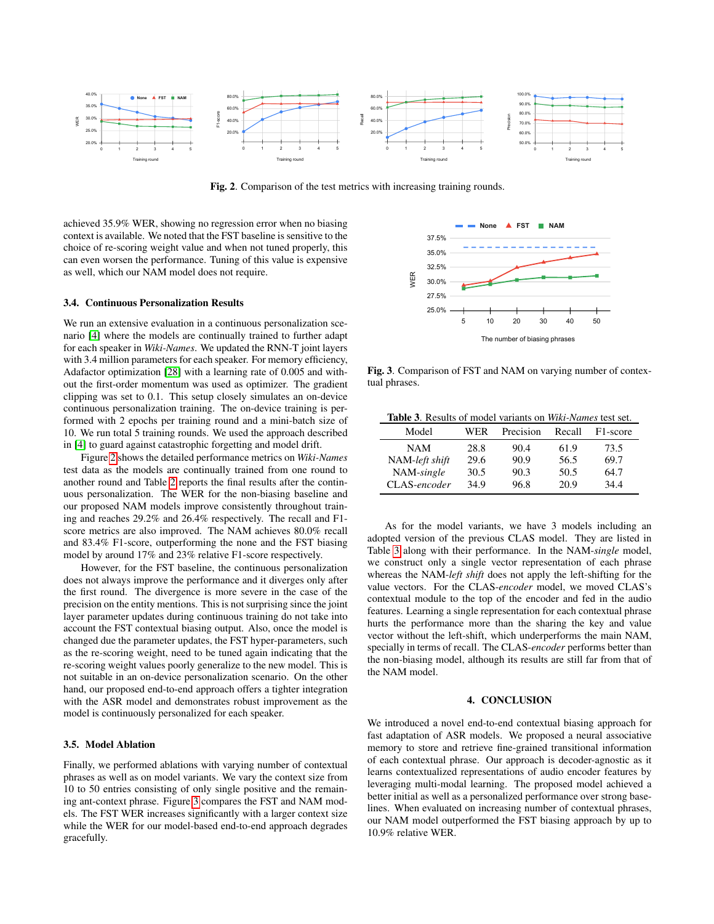

<span id="page-3-0"></span>Fig. 2. Comparison of the test metrics with increasing training rounds.

achieved 35.9% WER, showing no regression error when no biasing context is available. We noted that the FST baseline is sensitive to the choice of re-scoring weight value and when not tuned properly, this can even worsen the performance. Tuning of this value is expensive as well, which our NAM model does not require.

# 3.4. Continuous Personalization Results

We run an extensive evaluation in a continuous personalization scenario [\[4\]](#page-4-3) where the models are continually trained to further adapt for each speaker in *Wiki-Names*. We updated the RNN-T joint layers with 3.4 million parameters for each speaker. For memory efficiency, Adafactor optimization [\[28\]](#page-4-27) with a learning rate of 0.005 and without the first-order momentum was used as optimizer. The gradient clipping was set to 0.1. This setup closely simulates an on-device continuous personalization training. The on-device training is performed with 2 epochs per training round and a mini-batch size of 10. We run total 5 training rounds. We used the approach described in [\[4\]](#page-4-3) to guard against catastrophic forgetting and model drift.

Figure [2](#page-3-0) shows the detailed performance metrics on *Wiki-Names* test data as the models are continually trained from one round to another round and Table [2](#page-2-2) reports the final results after the continuous personalization. The WER for the non-biasing baseline and our proposed NAM models improve consistently throughout training and reaches 29.2% and 26.4% respectively. The recall and F1 score metrics are also improved. The NAM achieves 80.0% recall and 83.4% F1-score, outperforming the none and the FST biasing model by around 17% and 23% relative F1-score respectively.

However, for the FST baseline, the continuous personalization does not always improve the performance and it diverges only after the first round. The divergence is more severe in the case of the precision on the entity mentions. This is not surprising since the joint layer parameter updates during continuous training do not take into account the FST contextual biasing output. Also, once the model is changed due the parameter updates, the FST hyper-parameters, such as the re-scoring weight, need to be tuned again indicating that the re-scoring weight values poorly generalize to the new model. This is not suitable in an on-device personalization scenario. On the other hand, our proposed end-to-end approach offers a tighter integration with the ASR model and demonstrates robust improvement as the model is continuously personalized for each speaker.

# 3.5. Model Ablation

Finally, we performed ablations with varying number of contextual phrases as well as on model variants. We vary the context size from 10 to 50 entries consisting of only single positive and the remaining ant-context phrase. Figure [3](#page-3-1) compares the FST and NAM models. The FST WER increases significantly with a larger context size while the WER for our model-based end-to-end approach degrades gracefully.



<span id="page-3-1"></span>Fig. 3. Comparison of FST and NAM on varying number of contextual phrases.

<span id="page-3-2"></span>Table 3. Results of model variants on *Wiki-Names* test set.

| Model          | WER  | Precision | Recall | F <sub>1</sub> -score |
|----------------|------|-----------|--------|-----------------------|
| NAM            | 28.8 | 90.4      | 61.9   | 73.5                  |
| NAM-left shift | 29.6 | 90.9      | 56.5   | 69.7                  |
| NAM-single     | 30.5 | 90.3      | 50.5   | 64.7                  |
| CLAS-encoder   | 34.9 | 96.8      | 20.9   | 34.4                  |

As for the model variants, we have 3 models including an adopted version of the previous CLAS model. They are listed in Table [3](#page-3-2) along with their performance. In the NAM-*single* model, we construct only a single vector representation of each phrase whereas the NAM-*left shift* does not apply the left-shifting for the value vectors. For the CLAS-*encoder* model, we moved CLAS's contextual module to the top of the encoder and fed in the audio features. Learning a single representation for each contextual phrase hurts the performance more than the sharing the key and value vector without the left-shift, which underperforms the main NAM, specially in terms of recall. The CLAS-*encoder* performs better than the non-biasing model, although its results are still far from that of the NAM model.

# 4. CONCLUSION

We introduced a novel end-to-end contextual biasing approach for fast adaptation of ASR models. We proposed a neural associative memory to store and retrieve fine-grained transitional information of each contextual phrase. Our approach is decoder-agnostic as it learns contextualized representations of audio encoder features by leveraging multi-modal learning. The proposed model achieved a better initial as well as a personalized performance over strong baselines. When evaluated on increasing number of contextual phrases, our NAM model outperformed the FST biasing approach by up to 10.9% relative WER.